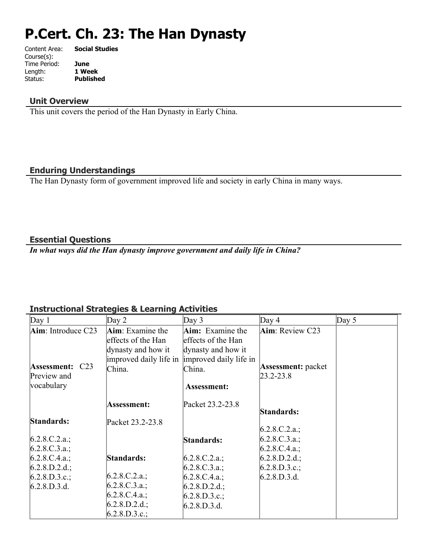# **P.Cert. Ch. 23: The Han Dynasty**

| Content Area: | <b>Social Studies</b> |
|---------------|-----------------------|
| Course(s):    |                       |
| Time Period:  | June                  |
| Length:       | 1 Week                |
| Status:       | <b>Published</b>      |
|               |                       |

## **Unit Overview**

This unit covers the period of the Han Dynasty in Early China.

## **Enduring Understandings**

The Han Dynasty form of government improved life and society in early China in many ways.

#### **Essential Questions**

*In what ways did the Han dynasty improve government and daily life in China?*

## **Instructional Strategies & Learning Activities**

| Day 1                  | Day $2$                                       | Day $3$                 | Day 4                     | Day $5$ |
|------------------------|-----------------------------------------------|-------------------------|---------------------------|---------|
| $Aim$ : Introduce C23  | <b>Aim</b> : Examine the                      | <b>Aim:</b> Examine the | <b>Aim</b> : Review C23   |         |
|                        | effects of the Han                            | effects of the Han      |                           |         |
|                        | dynasty and how it                            | dynasty and how it      |                           |         |
|                        | improved daily life in improved daily life in |                         |                           |         |
| <b>Assessment: C23</b> | China.                                        | China.                  | <b>Assessment:</b> packet |         |
| Preview and            |                                               |                         | $[23.2 - 23.8]$           |         |
| vocabulary             |                                               | <b>Assessment:</b>      |                           |         |
|                        |                                               | Packet 23.2-23.8        |                           |         |
|                        | <b>Assessment:</b>                            |                         | Standards:                |         |
| Standards:             | Packet 23.2-23.8                              |                         |                           |         |
|                        |                                               |                         | $6.2.8$ .C.2.a.;          |         |
| $6.2.8.C.2.a.$ ;       |                                               | Standards:              | $6.2.8$ .C.3.a.;          |         |
| $6.2.8.C.3.a.$ ;       |                                               |                         | 6.2.8.C.4.a.;             |         |
| $6.2.8.C.4.a.$ ;       | Standards:                                    | $6.2.8.C.2.a.$ ;        | $6.2.8.D.2.d.$ ;          |         |
| $6.2.8.D.2.d.$ ;       |                                               | 6.2.8.C.3.a.:           | 6.2.8.D.3.c.;             |         |
| 6.2.8.D.3.c.;          | 6.2.8.C.2.a.;                                 | 6.2.8.C.4.a.;           | 6.2.8.D.3.d.              |         |
| 6.2.8.D.3.d.           | $6.2.8$ .C.3.a.;                              | $6.2.8.D.2.d.$ ;        |                           |         |
|                        | 6.2.8.C.4.a.;                                 | 6.2.8.D.3.c.;           |                           |         |
|                        | 6.2.8.D.2.d.;                                 | 6.2.8.D.3.d.            |                           |         |
|                        | 6.2.8.D.3.c.;                                 |                         |                           |         |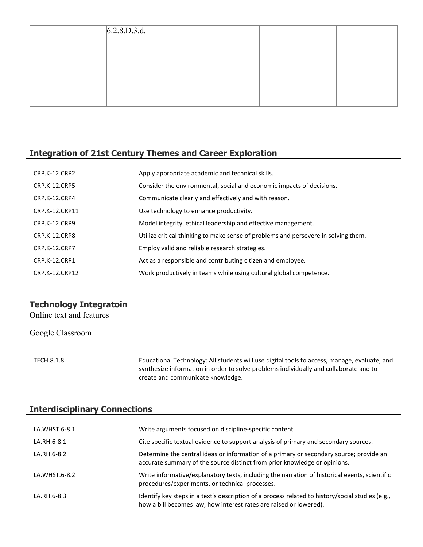| 6.2.8.D.3.d. |  |  |
|--------------|--|--|
|              |  |  |
|              |  |  |
|              |  |  |
|              |  |  |
|              |  |  |

## **Integration of 21st Century Themes and Career Exploration**

| <b>CRP.K-12.CRP2</b> | Apply appropriate academic and technical skills.                                   |
|----------------------|------------------------------------------------------------------------------------|
| <b>CRP.K-12.CRP5</b> | Consider the environmental, social and economic impacts of decisions.              |
| CRP.K-12.CRP4        | Communicate clearly and effectively and with reason.                               |
| CRP.K-12.CRP11       | Use technology to enhance productivity.                                            |
| CRP.K-12.CRP9        | Model integrity, ethical leadership and effective management.                      |
| CRP.K-12.CRP8        | Utilize critical thinking to make sense of problems and persevere in solving them. |
| <b>CRP.K-12.CRP7</b> | Employ valid and reliable research strategies.                                     |
| <b>CRP.K-12.CRP1</b> | Act as a responsible and contributing citizen and employee.                        |
| CRP.K-12.CRP12       | Work productively in teams while using cultural global competence.                 |

## **Technology Integratoin**

Online text and features

Google Classroom

TECH.8.1.8 Educational Technology: All students will use digital tools to access, manage, evaluate, and synthesize information in order to solve problems individually and collaborate and to create and communicate knowledge.

#### **Interdisciplinary Connections**

| LA.WHST.6-8.1 | Write arguments focused on discipline-specific content.                                                                                                                |
|---------------|------------------------------------------------------------------------------------------------------------------------------------------------------------------------|
| LA.RH.6-8.1   | Cite specific textual evidence to support analysis of primary and secondary sources.                                                                                   |
| LA.RH.6-8.2   | Determine the central ideas or information of a primary or secondary source; provide an<br>accurate summary of the source distinct from prior knowledge or opinions.   |
| LA.WHST.6-8.2 | Write informative/explanatory texts, including the narration of historical events, scientific<br>procedures/experiments, or technical processes.                       |
| LA.RH.6-8.3   | Identify key steps in a text's description of a process related to history/social studies (e.g.,<br>how a bill becomes law, how interest rates are raised or lowered). |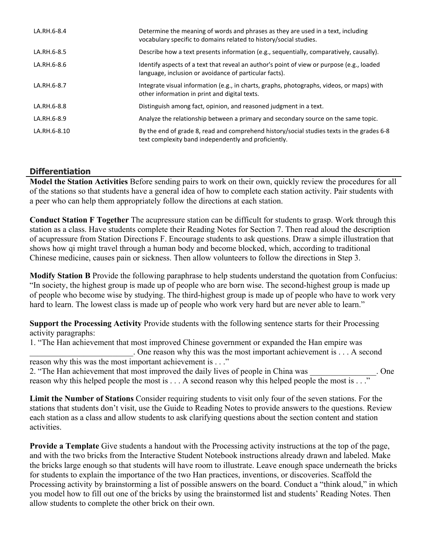| LA.RH.6-8.4  | Determine the meaning of words and phrases as they are used in a text, including<br>vocabulary specific to domains related to history/social studies. |
|--------------|-------------------------------------------------------------------------------------------------------------------------------------------------------|
| LA.RH.6-8.5  | Describe how a text presents information (e.g., sequentially, comparatively, causally).                                                               |
| LA.RH.6-8.6  | Identify aspects of a text that reveal an author's point of view or purpose (e.g., loaded<br>language, inclusion or avoidance of particular facts).   |
| LA.RH.6-8.7  | Integrate visual information (e.g., in charts, graphs, photographs, videos, or maps) with<br>other information in print and digital texts.            |
| LA.RH.6-8.8  | Distinguish among fact, opinion, and reasoned judgment in a text.                                                                                     |
| LA.RH.6-8.9  | Analyze the relationship between a primary and secondary source on the same topic.                                                                    |
| LA.RH.6-8.10 | By the end of grade 8, read and comprehend history/social studies texts in the grades 6-8<br>text complexity band independently and proficiently.     |

## **Differentiation**

**Model the Station Activities** Before sending pairs to work on their own, quickly review the procedures for all of the stations so that students have a general idea of how to complete each station activity. Pair students with a peer who can help them appropriately follow the directions at each station.

**Conduct Station F Together** The acupressure station can be difficult for students to grasp. Work through this station as a class. Have students complete their Reading Notes for Section 7. Then read aloud the description of acupressure from Station Directions F. Encourage students to ask questions. Draw a simple illustration that shows how qi might travel through a human body and become blocked, which, according to traditional Chinese medicine, causes pain or sickness. Then allow volunteers to follow the directions in Step 3.

**Modify Station B** Provide the following paraphrase to help students understand the quotation from Confucius: "In society, the highest group is made up of people who are born wise. The second-highest group is made up of people who become wise by studying. The third-highest group is made up of people who have to work very hard to learn. The lowest class is made up of people who work very hard but are never able to learn."

**Support the Processing Activity** Provide students with the following sentence starts for their Processing activity paragraphs:

1. "The Han achievement that most improved Chinese government or expanded the Han empire was . One reason why this was the most important achievement is . . . A second reason why this was the most important achievement is . . ."

```
2. "The Han achievement that most improved the daily lives of people in China was . One
reason why this helped people the most is . . . A second reason why this helped people the most is . . ."
```
**Limit the Number of Stations** Consider requiring students to visit only four of the seven stations. For the stations that students don't visit, use the Guide to Reading Notes to provide answers to the questions. Review each station as a class and allow students to ask clarifying questions about the section content and station activities.

**Provide a Template** Give students a handout with the Processing activity instructions at the top of the page, and with the two bricks from the Interactive Student Notebook instructions already drawn and labeled. Make the bricks large enough so that students will have room to illustrate. Leave enough space underneath the bricks for students to explain the importance of the two Han practices, inventions, or discoveries. Scaffold the Processing activity by brainstorming a list of possible answers on the board. Conduct a "think aloud," in which you model how to fill out one of the bricks by using the brainstormed list and students' Reading Notes. Then allow students to complete the other brick on their own.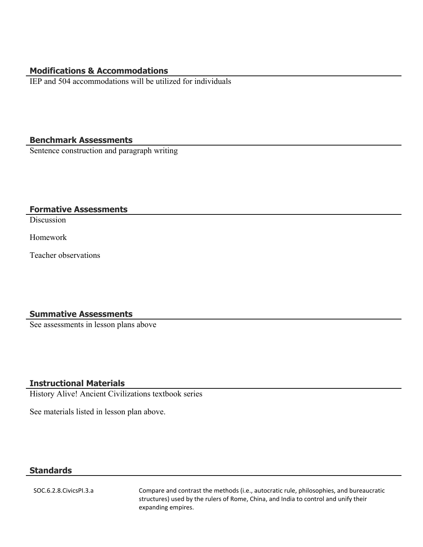#### **Modifications & Accommodations**

IEP and 504 accommodations will be utilized for individuals

#### **Benchmark Assessments**

Sentence construction and paragraph writing

#### **Formative Assessments**

**Discussion** 

Homework

Teacher observations

#### **Summative Assessments**

See assessments in lesson plans above

## **Instructional Materials**

History Alive! Ancient Civilizations textbook series

See materials listed in lesson plan above.

## **Standards**

SOC.6.2.8.CivicsPI.3.a Compare and contrast the methods (i.e., autocratic rule, philosophies, and bureaucratic structures) used by the rulers of Rome, China, and India to control and unify their expanding empires.